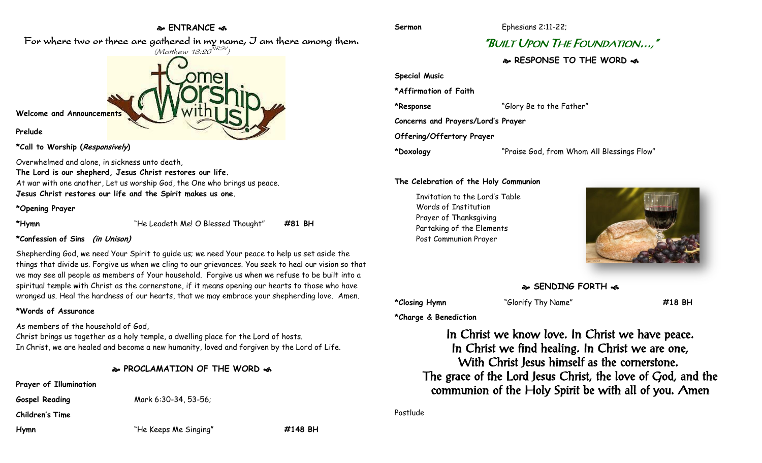## **ENTRANCE**

For where two or three are gathered in my name, I am there among them.



**\*Call to Worship (Responsively)** 

Overwhelmed and alone, in sickness unto death,

**The Lord is our shepherd, Jesus Christ restores our life.** At war with one another, Let us worship God, the One who brings us peace. **Jesus Christ restores our life and the Spirit makes us one.**

#### **\*Opening Prayer**

**\*Hymn** "He Leadeth Me! O Blessed Thought" **#81 BH**

## **\*Confession of Sins (in Unison)**

Shepherding God, we need Your Spirit to guide us; we need Your peace to help us set aside the things that divide us. Forgive us when we cling to our grievances. You seek to heal our vision so that we may see all people as members of Your household. Forgive us when we refuse to be built into a spiritual temple with Christ as the cornerstone, if it means opening our hearts to those who have wronged us. Heal the hardness of our hearts, that we may embrace your shepherding love. Amen.

## **\*Words of Assurance**

As members of the household of God,

Christ brings us together as a holy temple, a dwelling place for the Lord of hosts. In Christ, we are healed and become a new humanity, loved and forgiven by the Lord of Life.

## **PROCLAMATION OF THE WORD**

**Prayer of Illumination**

**Gospel Reading** Mark 6:30-34, 53-56;

**Children's Time**

**Hymn** "He Keeps Me Singing" **#148 BH**

**Sermon** Ephesians 2:11-22;

# "BUILT UPON THE FOUNDATION…,"

**RESPONSE TO THE WORD** 

**Special Music \*Affirmation of Faith \*Response** "Glory Be to the Father" **Concerns and Prayers/Lord's Prayer Offering/Offertory Prayer \*Doxology** "Praise God, from Whom All Blessings Flow"

## **The Celebration of the Holy Communion**

Invitation to the Lord's Table Words of Institution Prayer of Thanksgiving Partaking of the Elements Post Communion Prayer



# **SENDING FORTH**

**\*Closing Hymn** "Glorify Thy Name" **#18 BH**

**\*Charge & Benediction**

In Christ we know love. In Christ we have peace. In Christ we find healing. In Christ we are one, With Christ Jesus himself as the cornerstone. The grace of the Lord Jesus Christ, the love of God, and the communion of the Holy Spirit be with all of you. Amen

Postlude